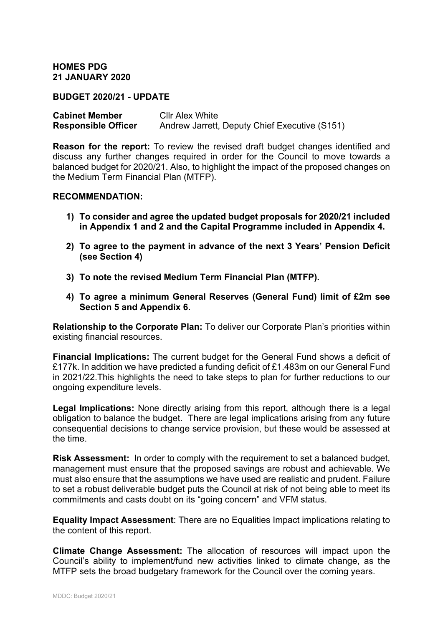**HOMES PDG 21 JANUARY 2020**

**BUDGET 2020/21 - UPDATE**

**Cabinet Member** Cllr Alex White<br> **Responsible Officer** Andrew Jarrett. Andrew Jarrett, Deputy Chief Executive (S151)

**Reason for the report:** To review the revised draft budget changes identified and discuss any further changes required in order for the Council to move towards a balanced budget for 2020/21. Also, to highlight the impact of the proposed changes on the Medium Term Financial Plan (MTFP).

#### **RECOMMENDATION:**

- **1) To consider and agree the updated budget proposals for 2020/21 included in Appendix 1 and 2 and the Capital Programme included in Appendix 4.**
- **2) To agree to the payment in advance of the next 3 Years' Pension Deficit (see Section 4)**
- **3) To note the revised Medium Term Financial Plan (MTFP).**
- **4) To agree a minimum General Reserves (General Fund) limit of £2m see Section 5 and Appendix 6.**

**Relationship to the Corporate Plan:** To deliver our Corporate Plan's priorities within existing financial resources.

**Financial Implications:** The current budget for the General Fund shows a deficit of £177k. In addition we have predicted a funding deficit of £1.483m on our General Fund in 2021/22.This highlights the need to take steps to plan for further reductions to our ongoing expenditure levels.

**Legal Implications:** None directly arising from this report, although there is a legal obligation to balance the budget. There are legal implications arising from any future consequential decisions to change service provision, but these would be assessed at the time.

**Risk Assessment:** In order to comply with the requirement to set a balanced budget, management must ensure that the proposed savings are robust and achievable. We must also ensure that the assumptions we have used are realistic and prudent. Failure to set a robust deliverable budget puts the Council at risk of not being able to meet its commitments and casts doubt on its "going concern" and VFM status.

**Equality Impact Assessment**: There are no Equalities Impact implications relating to the content of this report.

**Climate Change Assessment:** The allocation of resources will impact upon the Council's ability to implement/fund new activities linked to climate change, as the MTFP sets the broad budgetary framework for the Council over the coming years.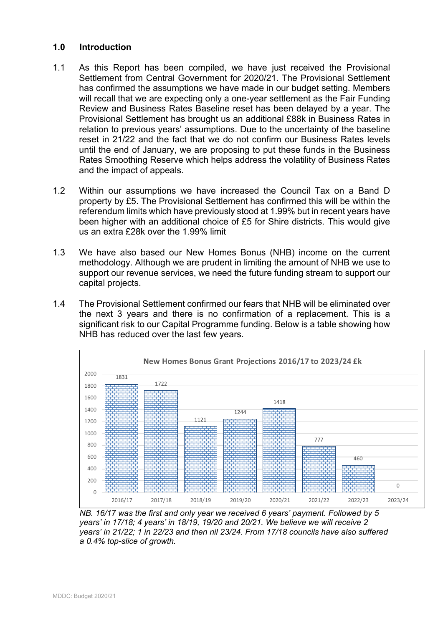# **1.0 Introduction**

- 1.1 As this Report has been compiled, we have just received the Provisional Settlement from Central Government for 2020/21. The Provisional Settlement has confirmed the assumptions we have made in our budget setting. Members will recall that we are expecting only a one-year settlement as the Fair Funding Review and Business Rates Baseline reset has been delayed by a year. The Provisional Settlement has brought us an additional £88k in Business Rates in relation to previous years' assumptions. Due to the uncertainty of the baseline reset in 21/22 and the fact that we do not confirm our Business Rates levels until the end of January, we are proposing to put these funds in the Business Rates Smoothing Reserve which helps address the volatility of Business Rates and the impact of appeals.
- 1.2 Within our assumptions we have increased the Council Tax on a Band D property by £5. The Provisional Settlement has confirmed this will be within the referendum limits which have previously stood at 1.99% but in recent years have been higher with an additional choice of £5 for Shire districts. This would give us an extra £28k over the 1.99% limit
- 1.3 We have also based our New Homes Bonus (NHB) income on the current methodology. Although we are prudent in limiting the amount of NHB we use to support our revenue services, we need the future funding stream to support our capital projects.
- 1.4 The Provisional Settlement confirmed our fears that NHB will be eliminated over the next 3 years and there is no confirmation of a replacement. This is a significant risk to our Capital Programme funding. Below is a table showing how NHB has reduced over the last few years.



*NB. 16/17 was the first and only year we received 6 years' payment. Followed by 5 years' in 17/18; 4 years' in 18/19, 19/20 and 20/21. We believe we will receive 2 years' in 21/22; 1 in 22/23 and then nil 23/24. From 17/18 councils have also suffered a 0.4% top-slice of growth.*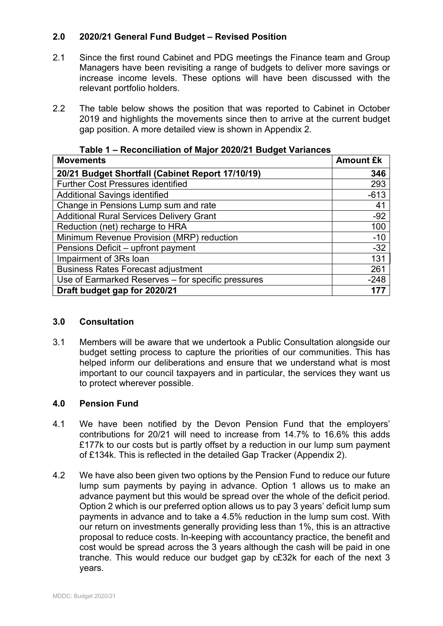# **2.0 2020/21 General Fund Budget – Revised Position**

- 2.1 Since the first round Cabinet and PDG meetings the Finance team and Group Managers have been revisiting a range of budgets to deliver more savings or increase income levels. These options will have been discussed with the relevant portfolio holders.
- 2.2 The table below shows the position that was reported to Cabinet in October 2019 and highlights the movements since then to arrive at the current budget gap position. A more detailed view is shown in Appendix 2.

| <b>Movements</b>                                   | <b>Amount £k</b> |
|----------------------------------------------------|------------------|
| 20/21 Budget Shortfall (Cabinet Report 17/10/19)   | 346              |
| <b>Further Cost Pressures identified</b>           | 293              |
| <b>Additional Savings identified</b>               | $-613$           |
| Change in Pensions Lump sum and rate               | 41               |
| <b>Additional Rural Services Delivery Grant</b>    | $-92$            |
| Reduction (net) recharge to HRA                    | 100              |
| Minimum Revenue Provision (MRP) reduction          | $-10$            |
| Pensions Deficit - upfront payment                 | $-32$            |
| Impairment of 3Rs loan                             | 131              |
| <b>Business Rates Forecast adjustment</b>          | 261              |
| Use of Earmarked Reserves - for specific pressures | $-248$           |
| Draft budget gap for 2020/21                       | 177              |

### **Table 1 – Reconciliation of Major 2020/21 Budget Variances**

## **3.0 Consultation**

3.1 Members will be aware that we undertook a Public Consultation alongside our budget setting process to capture the priorities of our communities. This has helped inform our deliberations and ensure that we understand what is most important to our council taxpayers and in particular, the services they want us to protect wherever possible.

## **4.0 Pension Fund**

- 4.1 We have been notified by the Devon Pension Fund that the employers' contributions for 20/21 will need to increase from 14.7% to 16.6% this adds £177k to our costs but is partly offset by a reduction in our lump sum payment of £134k. This is reflected in the detailed Gap Tracker (Appendix 2).
- 4.2 We have also been given two options by the Pension Fund to reduce our future lump sum payments by paying in advance. Option 1 allows us to make an advance payment but this would be spread over the whole of the deficit period. Option 2 which is our preferred option allows us to pay 3 years' deficit lump sum payments in advance and to take a 4.5% reduction in the lump sum cost. With our return on investments generally providing less than 1%, this is an attractive proposal to reduce costs. In-keeping with accountancy practice, the benefit and cost would be spread across the 3 years although the cash will be paid in one tranche. This would reduce our budget gap by c£32k for each of the next 3 years.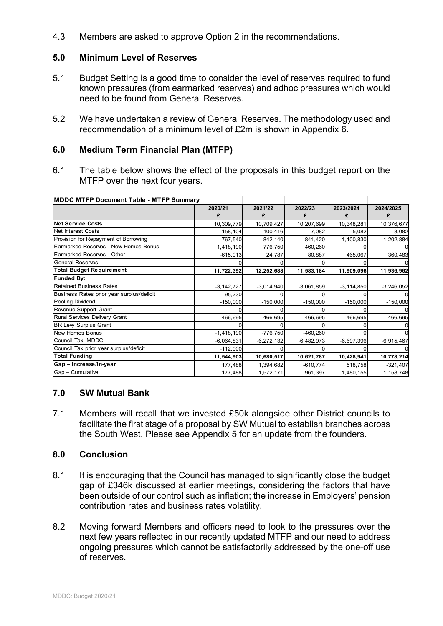4.3 Members are asked to approve Option 2 in the recommendations.

### **5.0 Minimum Level of Reserves**

- 5.1 Budget Setting is a good time to consider the level of reserves required to fund known pressures (from earmarked reserves) and adhoc pressures which would need to be found from General Reserves.
- 5.2 We have undertaken a review of General Reserves. The methodology used and recommendation of a minimum level of £2m is shown in Appendix 6.

### **6.0 Medium Term Financial Plan (MTFP)**

6.1 The table below shows the effect of the proposals in this budget report on the MTFP over the next four years.

| <b>MDDC MTFP Document Table - MTFP Summary</b> |                |              |              |                |              |
|------------------------------------------------|----------------|--------------|--------------|----------------|--------------|
|                                                | 2020/21        | 2021/22      | 2022/23      | 2023/2024      | 2024/2025    |
|                                                | £              | £            | £            |                | £            |
| <b>Net Service Costs</b>                       | 10,309,779     | 10,709,427   | 10,207,699   | 10,348,281     | 10,376,677   |
| Net Interest Costs                             | $-158, 104$    | $-100,416$   | $-7,082$     | $-5,082$       | $-3,082$     |
| Provision for Repayment of Borrowing           | 767,540        | 842,140      | 841,420      | 1,100,830      | 1,202,884    |
| Earmarked Reserves - New Homes Bonus           | 1,418,190      | 776,750      | 460,260      |                |              |
| Earmarked Reserves - Other                     | $-615,013$     | 24,787       | 80,887       | 465,067        | 360,483      |
| <b>General Reserves</b>                        |                |              |              |                |              |
| <b>Total Budget Requirement</b>                | 11,722,392     | 12,252,688   | 11,583,184   | 11,909,096     | 11,936,962   |
| <b>Funded By:</b>                              |                |              |              |                |              |
| <b>Retained Business Rates</b>                 | $-3, 142, 727$ | $-3,014,940$ | $-3,061,859$ | $-3, 114, 850$ | $-3,246,052$ |
| Business Rates prior year surplus/deficit      | $-95,230$      |              |              |                |              |
| Pooling Dividend                               | $-150,000$     | $-150,000$   | $-150,000$   | $-150,000$     | $-150,000$   |
| Revenue Support Grant                          |                |              |              |                |              |
| Rural Services Delivery Grant                  | $-466,695$     | $-466,695$   | $-466,695$   | -466,695       | $-466,695$   |
| <b>BR Lew Surplus Grant</b>                    |                |              |              |                |              |
| <b>New Homes Bonus</b>                         | $-1,418,190$   | $-776,750$   | $-460,260$   |                |              |
| Council Tax-MDDC                               | $-6,064,831$   | $-6,272,132$ | $-6,482,973$ | $-6,697,396$   | $-6,915,467$ |
| Council Tax prior year surplus/deficit         | $-112,000$     |              |              |                |              |
| <b>Total Funding</b>                           | 11,544,903     | 10,680,517   | 10,621,787   | 10,428,941     | 10,778,214   |
| Gap - Increase/In-year                         | 177,488        | 1,394,682    | $-610,774$   | 518,758        | $-321,407$   |
| Gap - Cumulative                               | 177,488        | 1,572,171    | 961,397      | 1,480,155      | 1,158,748    |

#### **7.0 SW Mutual Bank**

7.1 Members will recall that we invested £50k alongside other District councils to facilitate the first stage of a proposal by SW Mutual to establish branches across the South West. Please see Appendix 5 for an update from the founders.

### **8.0 Conclusion**

- 8.1 It is encouraging that the Council has managed to significantly close the budget gap of £346k discussed at earlier meetings, considering the factors that have been outside of our control such as inflation; the increase in Employers' pension contribution rates and business rates volatility.
- 8.2 Moving forward Members and officers need to look to the pressures over the next few years reflected in our recently updated MTFP and our need to address ongoing pressures which cannot be satisfactorily addressed by the one-off use of reserves.